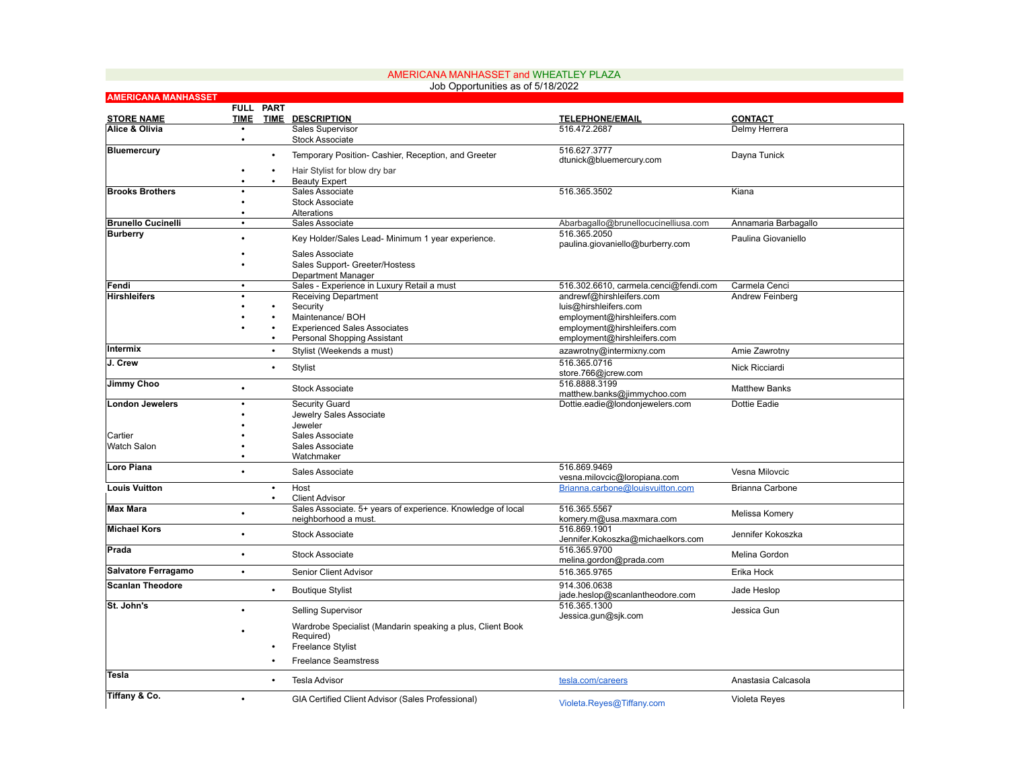|                            |             |           | Job Opportunities as of 5/18/2022                                  |                                                            |                       |
|----------------------------|-------------|-----------|--------------------------------------------------------------------|------------------------------------------------------------|-----------------------|
| <b>AMERICANA MANHASSET</b> |             | FULL PART |                                                                    |                                                            |                       |
| <b>STORE NAME</b>          | <b>TIME</b> | TIME      | <b>DESCRIPTION</b>                                                 | <b>TELEPHONE/EMAIL</b>                                     | <b>CONTACT</b>        |
| Alice & Olivia             | $\bullet$   |           | Sales Supervisor                                                   | 516.472.2687                                               | Delmy Herrera         |
|                            | $\bullet$   |           | <b>Stock Associate</b>                                             |                                                            |                       |
| <b>Bluemercury</b>         |             | $\bullet$ | Temporary Position- Cashier, Reception, and Greeter                | 516.627.3777                                               | Dayna Tunick          |
|                            |             |           |                                                                    | dtunick@bluemercury.com                                    |                       |
|                            |             | $\bullet$ | Hair Stylist for blow dry bar                                      |                                                            |                       |
| <b>Brooks Brothers</b>     |             |           | <b>Beauty Expert</b><br>Sales Associate                            | 516.365.3502                                               | Kiana                 |
|                            |             |           | <b>Stock Associate</b>                                             |                                                            |                       |
|                            |             |           | Alterations                                                        |                                                            |                       |
| <b>Brunello Cucinelli</b>  | $\bullet$   |           | Sales Associate                                                    | Abarbagallo@brunellocucinelliusa.com                       | Annamaria Barbagallo  |
| <b>Burberry</b>            |             |           | Key Holder/Sales Lead- Minimum 1 year experience.                  | 516.365.2050<br>paulina.giovaniello@burberry.com           | Paulina Giovaniello   |
|                            |             |           | Sales Associate                                                    |                                                            |                       |
|                            |             |           | Sales Support- Greeter/Hostess                                     |                                                            |                       |
|                            |             |           | Department Manager                                                 |                                                            |                       |
| Fendi                      | $\bullet$   |           | Sales - Experience in Luxury Retail a must                         | 516.302.6610, carmela.cenci@fendi.com                      | Carmela Cenci         |
| <b>Hirshleifers</b>        |             |           | <b>Receiving Department</b>                                        | andrewf@hirshleifers.com                                   | Andrew Feinberg       |
|                            |             |           | Security                                                           | luis@hirshleifers.com                                      |                       |
|                            |             |           | Maintenance/ BOH                                                   | employment@hirshleifers.com                                |                       |
|                            |             |           | <b>Experienced Sales Associates</b><br>Personal Shopping Assistant | employment@hirshleifers.com<br>employment@hirshleifers.com |                       |
| Intermix                   |             |           | Stylist (Weekends a must)                                          |                                                            | Amie Zawrotny         |
| J. Crew                    |             |           |                                                                    | azawrotny@intermixny.com<br>516.365.0716                   |                       |
|                            |             | $\bullet$ | Stylist                                                            | store.766@jcrew.com                                        | <b>Nick Ricciardi</b> |
| Jimmy Choo                 |             |           |                                                                    | 516.8888.3199                                              |                       |
|                            |             |           | <b>Stock Associate</b>                                             | matthew.banks@jimmychoo.com                                | <b>Matthew Banks</b>  |
| <b>London Jewelers</b>     |             |           | Security Guard                                                     | Dottie.eadie@londonjewelers.com                            | Dottie Eadie          |
|                            |             |           | Jewelry Sales Associate                                            |                                                            |                       |
|                            |             |           | Jeweler                                                            |                                                            |                       |
| Cartier                    |             |           | Sales Associate                                                    |                                                            |                       |
| Watch Salon                |             |           | Sales Associate<br>Watchmaker                                      |                                                            |                       |
| Loro Piana                 |             |           |                                                                    | 516.869.9469                                               |                       |
|                            |             |           | Sales Associate                                                    | vesna.milovcic@loropiana.com                               | Vesna Milovcic        |
| <b>Louis Vuitton</b>       |             | $\bullet$ | Host                                                               | Brianna.carbone@louisvuitton.com                           | Brianna Carbone       |
|                            |             | $\bullet$ | <b>Client Advisor</b>                                              |                                                            |                       |
| <b>Max Mara</b>            |             |           | Sales Associate. 5+ years of experience. Knowledge of local        | 516.365.5567                                               | Melissa Komery        |
| <b>Michael Kors</b>        |             |           | neighborhood a must.                                               | komery.m@usa.maxmara.com<br>516.869.1901                   |                       |
|                            |             |           | <b>Stock Associate</b>                                             | Jennifer.Kokoszka@michaelkors.com                          | Jennifer Kokoszka     |
| Prada                      |             |           |                                                                    | 516.365.9700                                               |                       |
|                            |             |           | <b>Stock Associate</b>                                             | melina.gordon@prada.com                                    | Melina Gordon         |
| Salvatore Ferragamo        | $\bullet$   |           | Senior Client Advisor                                              | 516.365.9765                                               | Erika Hock            |
| <b>Scanlan Theodore</b>    |             | $\bullet$ | <b>Boutique Stylist</b>                                            | 914.306.0638<br>jade.heslop@scanlantheodore.com            | Jade Heslop           |
| St. John's                 |             |           | <b>Selling Supervisor</b>                                          | 516.365.1300<br>Jessica.gun@sjk.com                        | Jessica Gun           |
|                            |             |           | Wardrobe Specialist (Mandarin speaking a plus, Client Book         |                                                            |                       |
|                            |             |           | Required)                                                          |                                                            |                       |
|                            |             |           | <b>Freelance Stylist</b>                                           |                                                            |                       |
|                            |             |           | <b>Freelance Seamstress</b>                                        |                                                            |                       |
| Tesla                      |             |           | <b>Tesla Advisor</b>                                               | tesla.com/careers                                          | Anastasia Calcasola   |
| Tiffany & Co.              |             |           |                                                                    |                                                            |                       |
|                            | $\bullet$   |           | GIA Certified Client Advisor (Sales Professional)                  | Violeta.Reyes@Tiffany.com                                  | Violeta Reyes         |

## AMERICANA MANHASSET and WHEATLEY PLAZA Job Opportunities as of 5/18/2022